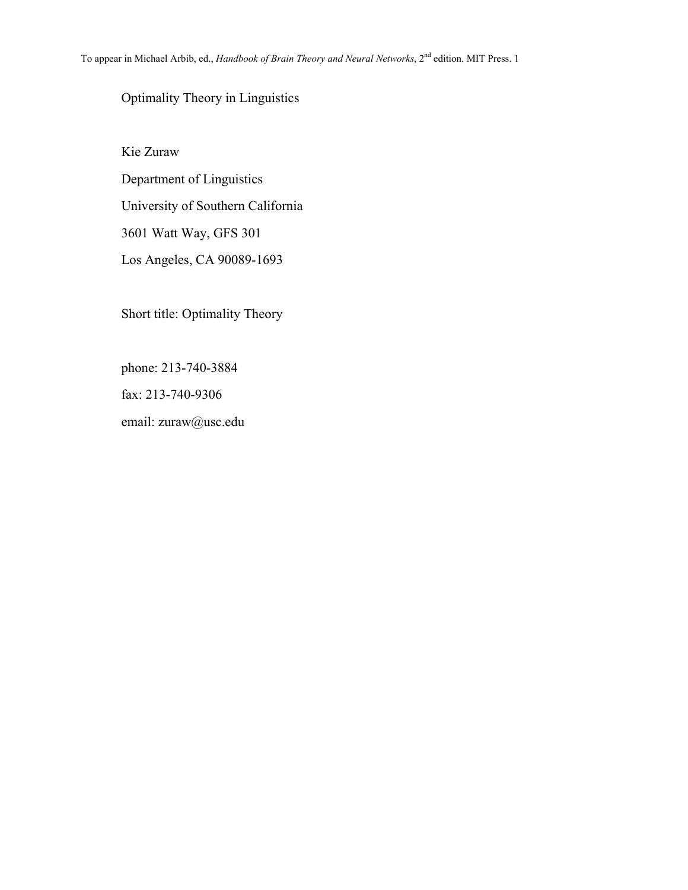# Optimality Theory in Linguistics

Kie Zuraw Department of Linguistics University of Southern California 3601 Watt Way, GFS 301 Los Angeles, CA 90089-1693

Short title: Optimality Theory

phone: 213-740-3884

fax: 213-740-9306

email: zuraw@usc.edu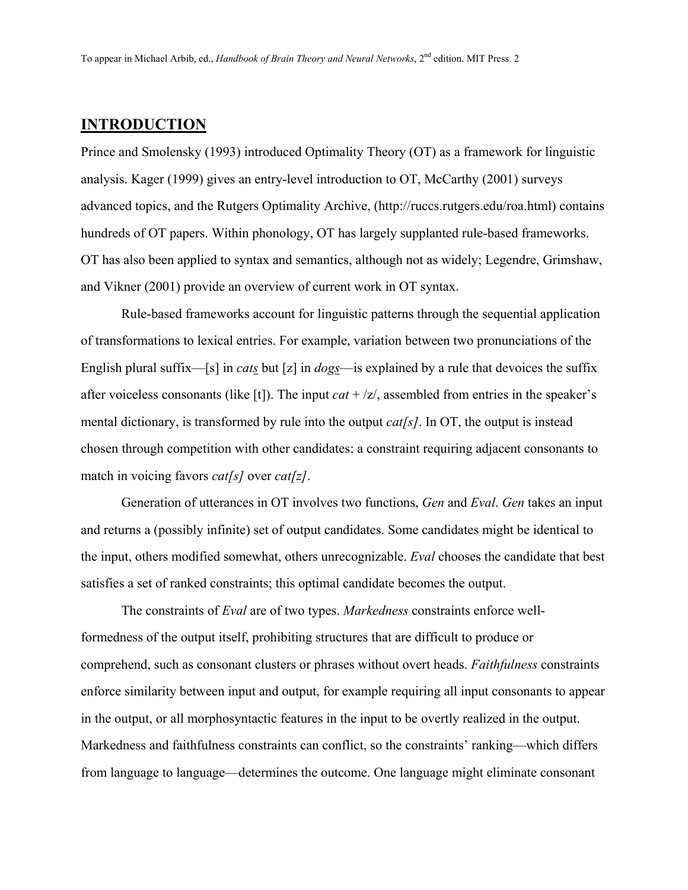## **INTRODUCTION**

Prince and Smolensky (1993) introduced Optimality Theory (OT) as a framework for linguistic analysis. Kager (1999) gives an entry-level introduction to OT, McCarthy (2001) surveys advanced topics, and the Rutgers Optimality Archive, (http://ruccs.rutgers.edu/roa.html) contains hundreds of OT papers. Within phonology, OT has largely supplanted rule-based frameworks. OT has also been applied to syntax and semantics, although not as widely; Legendre, Grimshaw, and Vikner (2001) provide an overview of current work in OT syntax.

Rule-based frameworks account for linguistic patterns through the sequential application of transformations to lexical entries. For example, variation between two pronunciations of the English plural suffix—[s] in *cats* but [z] in *dogs*—is explained by a rule that devoices the suffix after voiceless consonants (like [t]). The input *cat* + /z/, assembled from entries in the speaker's mental dictionary, is transformed by rule into the output *cat[s]*. In OT, the output is instead chosen through competition with other candidates: a constraint requiring adjacent consonants to match in voicing favors *cat[s]* over *cat[z]*.

 Generation of utterances in OT involves two functions, *Gen* and *Eval*. *Gen* takes an input and returns a (possibly infinite) set of output candidates. Some candidates might be identical to the input, others modified somewhat, others unrecognizable. *Eval* chooses the candidate that best satisfies a set of ranked constraints; this optimal candidate becomes the output.

The constraints of *Eval* are of two types. *Markedness* constraints enforce wellformedness of the output itself, prohibiting structures that are difficult to produce or comprehend, such as consonant clusters or phrases without overt heads. *Faithfulness* constraints enforce similarity between input and output, for example requiring all input consonants to appear in the output, or all morphosyntactic features in the input to be overtly realized in the output. Markedness and faithfulness constraints can conflict, so the constraints' ranking—which differs from language to language—determines the outcome. One language might eliminate consonant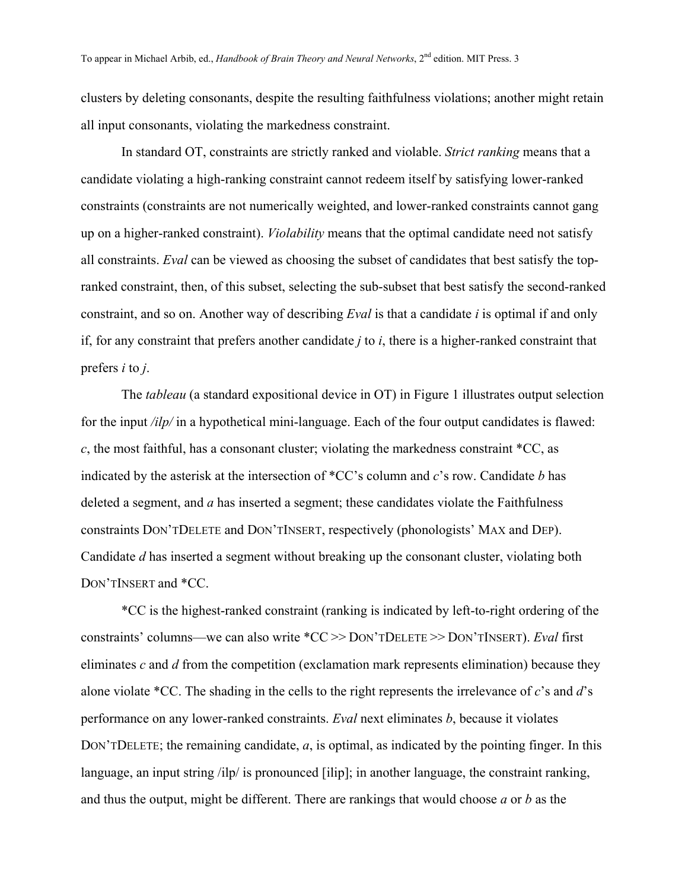clusters by deleting consonants, despite the resulting faithfulness violations; another might retain all input consonants, violating the markedness constraint.

In standard OT, constraints are strictly ranked and violable. *Strict ranking* means that a candidate violating a high-ranking constraint cannot redeem itself by satisfying lower-ranked constraints (constraints are not numerically weighted, and lower-ranked constraints cannot gang up on a higher-ranked constraint). *Violability* means that the optimal candidate need not satisfy all constraints. *Eval* can be viewed as choosing the subset of candidates that best satisfy the topranked constraint, then, of this subset, selecting the sub-subset that best satisfy the second-ranked constraint, and so on. Another way of describing *Eval* is that a candidate *i* is optimal if and only if, for any constraint that prefers another candidate *j* to *i*, there is a higher-ranked constraint that prefers *i* to *j*.

The *tableau* (a standard expositional device in OT) in [Figure 1](#page-12-0) illustrates output selection for the input */ilp/* in a hypothetical mini-language. Each of the four output candidates is flawed: *c*, the most faithful, has a consonant cluster; violating the markedness constraint \*CC, as indicated by the asterisk at the intersection of \*CC's column and *c*'s row. Candidate *b* has deleted a segment, and *a* has inserted a segment; these candidates violate the Faithfulness constraints DON'TDELETE and DON'TINSERT, respectively (phonologists' MAX and DEP). Candidate *d* has inserted a segment without breaking up the consonant cluster, violating both DON'TINSERT and \*CC.

\*CC is the highest-ranked constraint (ranking is indicated by left-to-right ordering of the constraints' columns—we can also write \*CC >> DON'TDELETE >> DON'TINSERT). *Eval* first eliminates *c* and *d* from the competition (exclamation mark represents elimination) because they alone violate \*CC. The shading in the cells to the right represents the irrelevance of *c*'s and *d*'s performance on any lower-ranked constraints. *Eval* next eliminates *b*, because it violates DON'TDELETE; the remaining candidate, *a*, is optimal, as indicated by the pointing finger. In this language, an input string /ilp/ is pronounced [ilip]; in another language, the constraint ranking, and thus the output, might be different. There are rankings that would choose *a* or *b* as the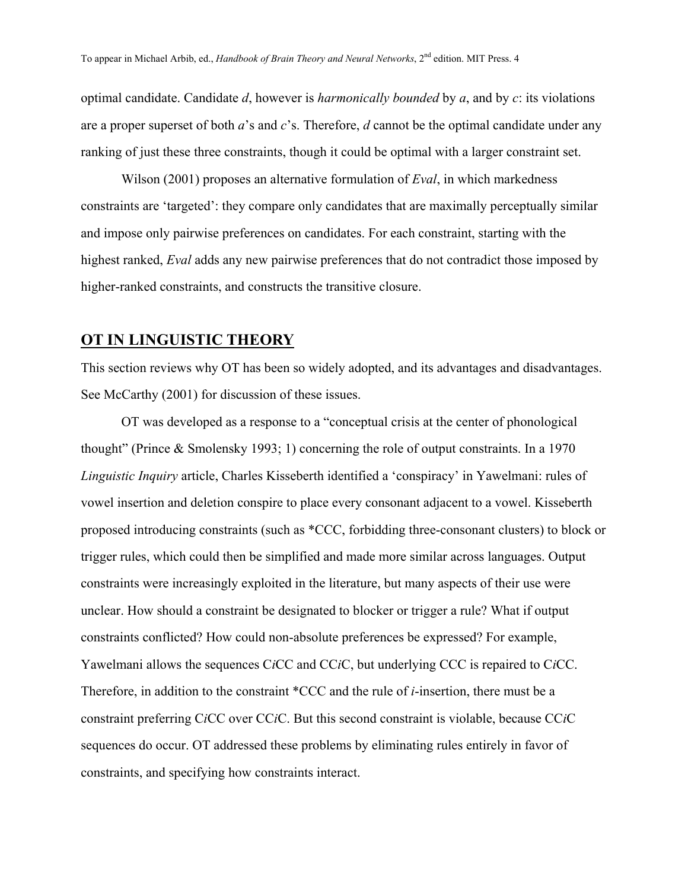optimal candidate. Candidate *d*, however is *harmonically bounded* by *a*, and by *c*: its violations are a proper superset of both *a*'s and *c*'s. Therefore, *d* cannot be the optimal candidate under any ranking of just these three constraints, though it could be optimal with a larger constraint set.

Wilson (2001) proposes an alternative formulation of *Eval*, in which markedness constraints are 'targeted': they compare only candidates that are maximally perceptually similar and impose only pairwise preferences on candidates. For each constraint, starting with the highest ranked, *Eval* adds any new pairwise preferences that do not contradict those imposed by higher-ranked constraints, and constructs the transitive closure.

# **OT IN LINGUISTIC THEORY**

This section reviews why OT has been so widely adopted, and its advantages and disadvantages. See McCarthy (2001) for discussion of these issues.

OT was developed as a response to a "conceptual crisis at the center of phonological thought" (Prince & Smolensky 1993; 1) concerning the role of output constraints. In a 1970 *Linguistic Inquiry* article, Charles Kisseberth identified a 'conspiracy' in Yawelmani: rules of vowel insertion and deletion conspire to place every consonant adjacent to a vowel. Kisseberth proposed introducing constraints (such as \*CCC, forbidding three-consonant clusters) to block or trigger rules, which could then be simplified and made more similar across languages. Output constraints were increasingly exploited in the literature, but many aspects of their use were unclear. How should a constraint be designated to blocker or trigger a rule? What if output constraints conflicted? How could non-absolute preferences be expressed? For example, Yawelmani allows the sequences C*i*CC and CC*i*C, but underlying CCC is repaired to C*i*CC. Therefore, in addition to the constraint \*CCC and the rule of *i*-insertion, there must be a constraint preferring C*i*CC over CC*i*C. But this second constraint is violable, because CC*i*C sequences do occur. OT addressed these problems by eliminating rules entirely in favor of constraints, and specifying how constraints interact.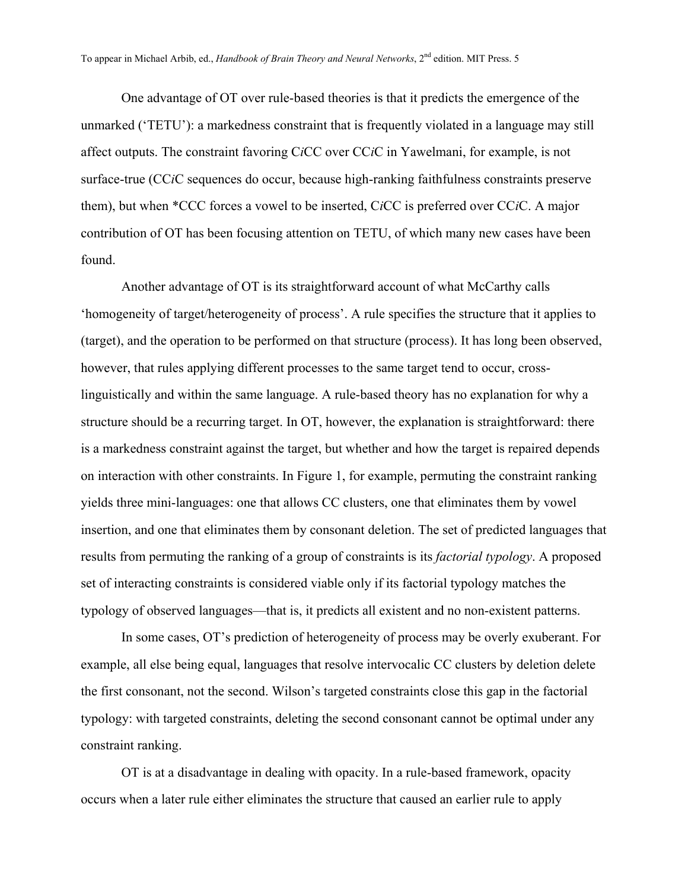One advantage of OT over rule-based theories is that it predicts the emergence of the unmarked ('TETU'): a markedness constraint that is frequently violated in a language may still affect outputs. The constraint favoring C*i*CC over CC*i*C in Yawelmani, for example, is not surface-true (CC*i*C sequences do occur, because high-ranking faithfulness constraints preserve them), but when \*CCC forces a vowel to be inserted, C*i*CC is preferred over CC*i*C. A major contribution of OT has been focusing attention on TETU, of which many new cases have been found.

Another advantage of OT is its straightforward account of what McCarthy calls 'homogeneity of target/heterogeneity of process'. A rule specifies the structure that it applies to (target), and the operation to be performed on that structure (process). It has long been observed, however, that rules applying different processes to the same target tend to occur, crosslinguistically and within the same language. A rule-based theory has no explanation for why a structure should be a recurring target. In OT, however, the explanation is straightforward: there is a markedness constraint against the target, but whether and how the target is repaired depends on interaction with other constraints. In [Figure 1,](#page-12-0) for example, permuting the constraint ranking yields three mini-languages: one that allows CC clusters, one that eliminates them by vowel insertion, and one that eliminates them by consonant deletion. The set of predicted languages that results from permuting the ranking of a group of constraints is its *factorial typology*. A proposed set of interacting constraints is considered viable only if its factorial typology matches the typology of observed languages—that is, it predicts all existent and no non-existent patterns.

In some cases, OT's prediction of heterogeneity of process may be overly exuberant. For example, all else being equal, languages that resolve intervocalic CC clusters by deletion delete the first consonant, not the second. Wilson's targeted constraints close this gap in the factorial typology: with targeted constraints, deleting the second consonant cannot be optimal under any constraint ranking.

OT is at a disadvantage in dealing with opacity. In a rule-based framework, opacity occurs when a later rule either eliminates the structure that caused an earlier rule to apply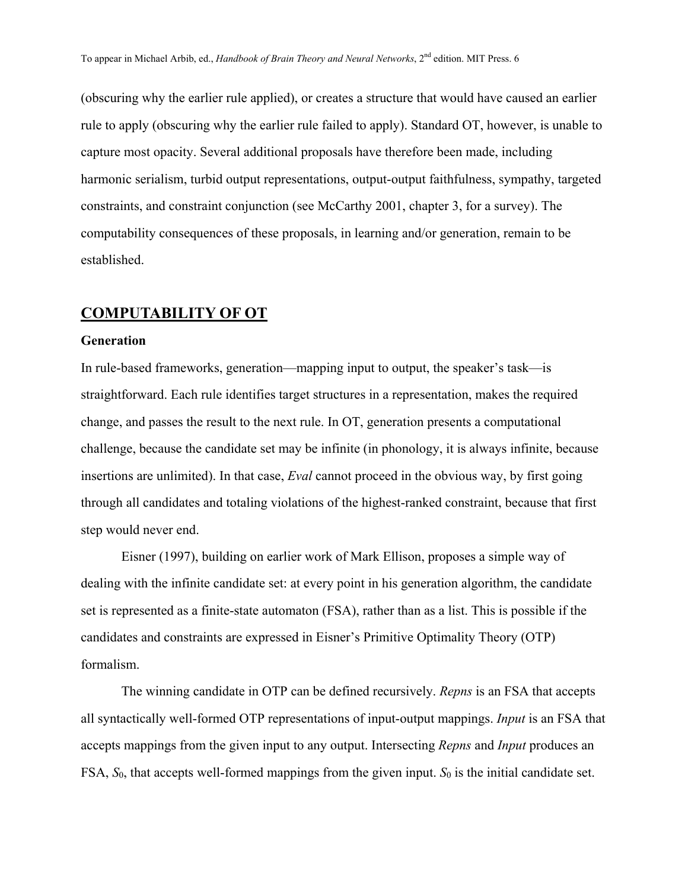(obscuring why the earlier rule applied), or creates a structure that would have caused an earlier rule to apply (obscuring why the earlier rule failed to apply). Standard OT, however, is unable to capture most opacity. Several additional proposals have therefore been made, including harmonic serialism, turbid output representations, output-output faithfulness, sympathy, targeted constraints, and constraint conjunction (see McCarthy 2001, chapter 3, for a survey). The computability consequences of these proposals, in learning and/or generation, remain to be established.

## **COMPUTABILITY OF OT**

#### **Generation**

In rule-based frameworks, generation—mapping input to output, the speaker's task—is straightforward. Each rule identifies target structures in a representation, makes the required change, and passes the result to the next rule. In OT, generation presents a computational challenge, because the candidate set may be infinite (in phonology, it is always infinite, because insertions are unlimited). In that case, *Eval* cannot proceed in the obvious way, by first going through all candidates and totaling violations of the highest-ranked constraint, because that first step would never end.

Eisner (1997), building on earlier work of Mark Ellison, proposes a simple way of dealing with the infinite candidate set: at every point in his generation algorithm, the candidate set is represented as a finite-state automaton (FSA), rather than as a list. This is possible if the candidates and constraints are expressed in Eisner's Primitive Optimality Theory (OTP) formalism.

The winning candidate in OTP can be defined recursively. *Repns* is an FSA that accepts all syntactically well-formed OTP representations of input-output mappings. *Input* is an FSA that accepts mappings from the given input to any output. Intersecting *Repns* and *Input* produces an FSA,  $S_0$ , that accepts well-formed mappings from the given input.  $S_0$  is the initial candidate set.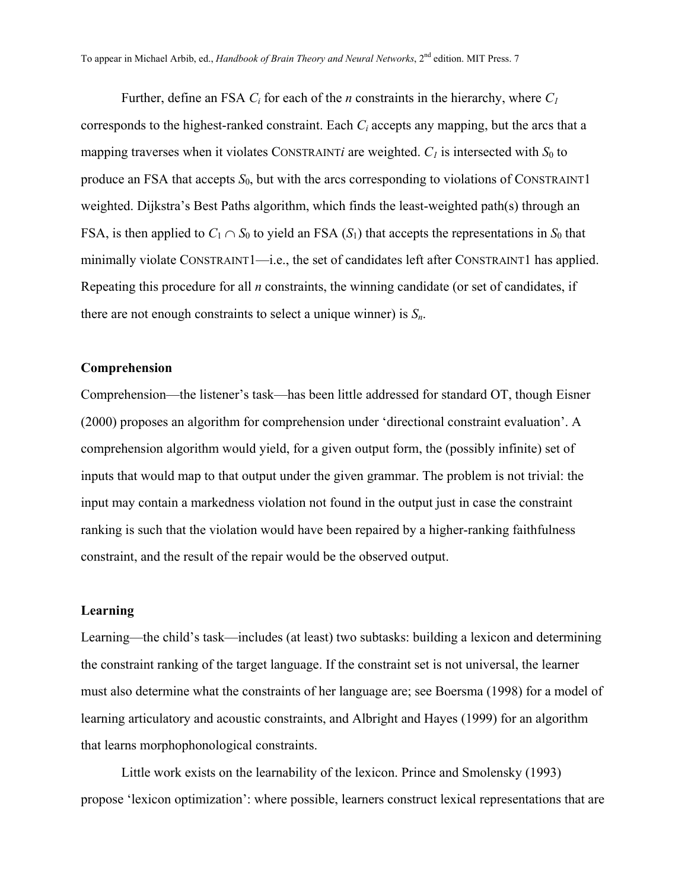Further, define an FSA *Ci* for each of the *n* constraints in the hierarchy, where *C1* corresponds to the highest-ranked constraint. Each *Ci* accepts any mapping, but the arcs that a mapping traverses when it violates CONSTRAINT*i* are weighted.  $C_I$  is intersected with  $S_0$  to produce an FSA that accepts  $S_0$ , but with the arcs corresponding to violations of CONSTRAINT1 weighted. Dijkstra's Best Paths algorithm, which finds the least-weighted path(s) through an FSA, is then applied to  $C_1 \cap S_0$  to yield an FSA  $(S_1)$  that accepts the representations in  $S_0$  that minimally violate CONSTRAINT1—i.e., the set of candidates left after CONSTRAINT1 has applied. Repeating this procedure for all *n* constraints, the winning candidate (or set of candidates, if there are not enough constraints to select a unique winner) is  $S_n$ .

#### **Comprehension**

Comprehension—the listener's task—has been little addressed for standard OT, though Eisner (2000) proposes an algorithm for comprehension under 'directional constraint evaluation'. A comprehension algorithm would yield, for a given output form, the (possibly infinite) set of inputs that would map to that output under the given grammar. The problem is not trivial: the input may contain a markedness violation not found in the output just in case the constraint ranking is such that the violation would have been repaired by a higher-ranking faithfulness constraint, and the result of the repair would be the observed output.

#### **Learning**

Learning—the child's task—includes (at least) two subtasks: building a lexicon and determining the constraint ranking of the target language. If the constraint set is not universal, the learner must also determine what the constraints of her language are; see Boersma (1998) for a model of learning articulatory and acoustic constraints, and Albright and Hayes (1999) for an algorithm that learns morphophonological constraints.

Little work exists on the learnability of the lexicon. Prince and Smolensky (1993) propose 'lexicon optimization': where possible, learners construct lexical representations that are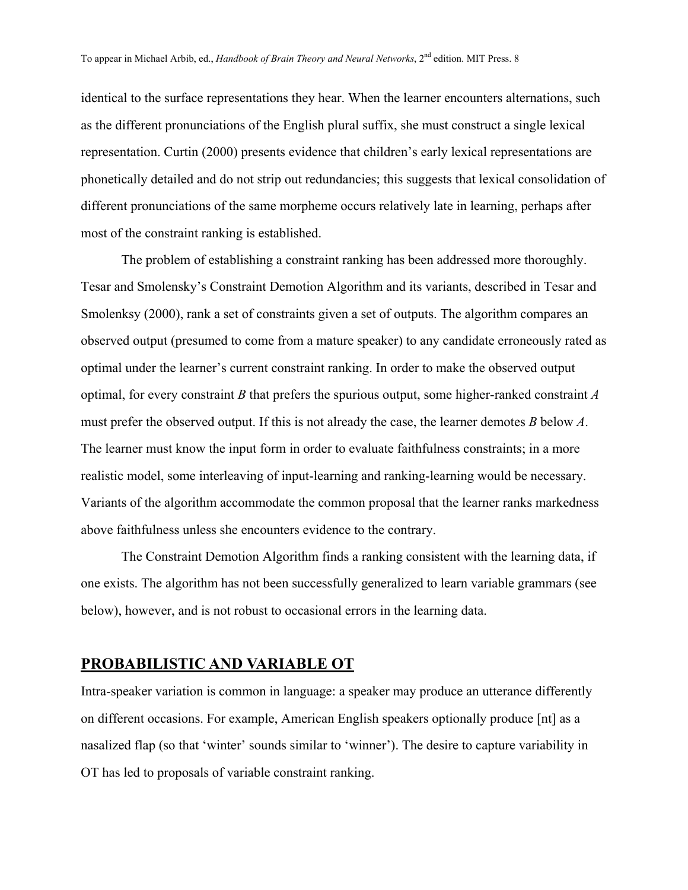identical to the surface representations they hear. When the learner encounters alternations, such as the different pronunciations of the English plural suffix, she must construct a single lexical representation. Curtin (2000) presents evidence that children's early lexical representations are phonetically detailed and do not strip out redundancies; this suggests that lexical consolidation of different pronunciations of the same morpheme occurs relatively late in learning, perhaps after most of the constraint ranking is established.

The problem of establishing a constraint ranking has been addressed more thoroughly. Tesar and Smolensky's Constraint Demotion Algorithm and its variants, described in Tesar and Smolenksy (2000), rank a set of constraints given a set of outputs. The algorithm compares an observed output (presumed to come from a mature speaker) to any candidate erroneously rated as optimal under the learner's current constraint ranking. In order to make the observed output optimal, for every constraint *B* that prefers the spurious output, some higher-ranked constraint *A* must prefer the observed output. If this is not already the case, the learner demotes *B* below *A*. The learner must know the input form in order to evaluate faithfulness constraints; in a more realistic model, some interleaving of input-learning and ranking-learning would be necessary. Variants of the algorithm accommodate the common proposal that the learner ranks markedness above faithfulness unless she encounters evidence to the contrary.

The Constraint Demotion Algorithm finds a ranking consistent with the learning data, if one exists. The algorithm has not been successfully generalized to learn variable grammars (see below), however, and is not robust to occasional errors in the learning data.

# **PROBABILISTIC AND VARIABLE OT**

Intra-speaker variation is common in language: a speaker may produce an utterance differently on different occasions. For example, American English speakers optionally produce [nt] as a nasalized flap (so that 'winter' sounds similar to 'winner'). The desire to capture variability in OT has led to proposals of variable constraint ranking.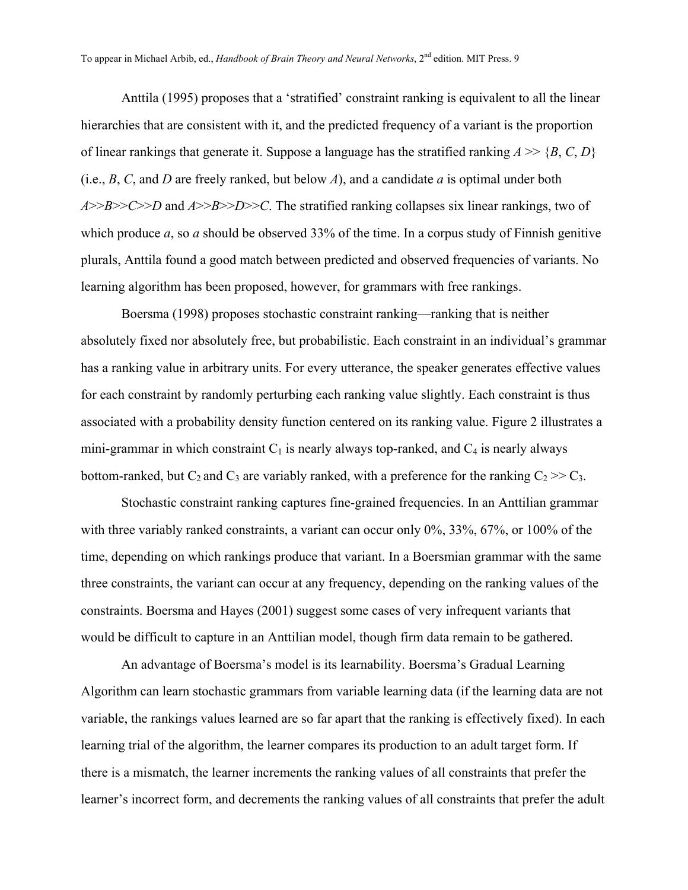Anttila (1995) proposes that a 'stratified' constraint ranking is equivalent to all the linear hierarchies that are consistent with it, and the predicted frequency of a variant is the proportion of linear rankings that generate it. Suppose a language has the stratified ranking  $A \gg \{B, C, D\}$ (i.e., *B*, *C*, and *D* are freely ranked, but below *A*), and a candidate *a* is optimal under both *A*>>*B*>>*C*>>*D* and *A*>>*B*>>*D*>>*C*. The stratified ranking collapses six linear rankings, two of which produce *a*, so *a* should be observed 33% of the time. In a corpus study of Finnish genitive plurals, Anttila found a good match between predicted and observed frequencies of variants. No learning algorithm has been proposed, however, for grammars with free rankings.

Boersma (1998) proposes stochastic constraint ranking—ranking that is neither absolutely fixed nor absolutely free, but probabilistic. Each constraint in an individual's grammar has a ranking value in arbitrary units. For every utterance, the speaker generates effective values for each constraint by randomly perturbing each ranking value slightly. Each constraint is thus associated with a probability density function centered on its ranking value. [Figure 2](#page-13-0) illustrates a mini-grammar in which constraint  $C_1$  is nearly always top-ranked, and  $C_4$  is nearly always bottom-ranked, but  $C_2$  and  $C_3$  are variably ranked, with a preference for the ranking  $C_2 \gg C_3$ .

Stochastic constraint ranking captures fine-grained frequencies. In an Anttilian grammar with three variably ranked constraints, a variant can occur only 0%, 33%, 67%, or 100% of the time, depending on which rankings produce that variant. In a Boersmian grammar with the same three constraints, the variant can occur at any frequency, depending on the ranking values of the constraints. Boersma and Hayes (2001) suggest some cases of very infrequent variants that would be difficult to capture in an Anttilian model, though firm data remain to be gathered.

An advantage of Boersma's model is its learnability. Boersma's Gradual Learning Algorithm can learn stochastic grammars from variable learning data (if the learning data are not variable, the rankings values learned are so far apart that the ranking is effectively fixed). In each learning trial of the algorithm, the learner compares its production to an adult target form. If there is a mismatch, the learner increments the ranking values of all constraints that prefer the learner's incorrect form, and decrements the ranking values of all constraints that prefer the adult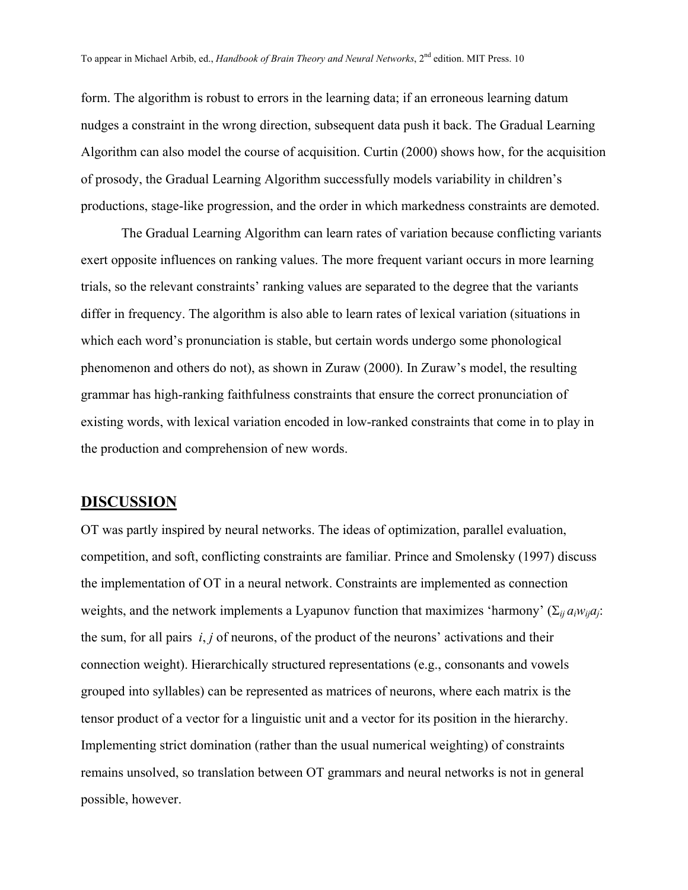form. The algorithm is robust to errors in the learning data; if an erroneous learning datum nudges a constraint in the wrong direction, subsequent data push it back. The Gradual Learning Algorithm can also model the course of acquisition. Curtin (2000) shows how, for the acquisition of prosody, the Gradual Learning Algorithm successfully models variability in children's productions, stage-like progression, and the order in which markedness constraints are demoted.

The Gradual Learning Algorithm can learn rates of variation because conflicting variants exert opposite influences on ranking values. The more frequent variant occurs in more learning trials, so the relevant constraints' ranking values are separated to the degree that the variants differ in frequency. The algorithm is also able to learn rates of lexical variation (situations in which each word's pronunciation is stable, but certain words undergo some phonological phenomenon and others do not), as shown in Zuraw (2000). In Zuraw's model, the resulting grammar has high-ranking faithfulness constraints that ensure the correct pronunciation of existing words, with lexical variation encoded in low-ranked constraints that come in to play in the production and comprehension of new words.

## **DISCUSSION**

OT was partly inspired by neural networks. The ideas of optimization, parallel evaluation, competition, and soft, conflicting constraints are familiar. Prince and Smolensky (1997) discuss the implementation of OT in a neural network. Constraints are implemented as connection weights, and the network implements a Lyapunov function that maximizes 'harmony' ( $\Sigma_{ij} a_i w_{ij} a_j$ : the sum, for all pairs *i*, *j* of neurons, of the product of the neurons' activations and their connection weight). Hierarchically structured representations (e.g., consonants and vowels grouped into syllables) can be represented as matrices of neurons, where each matrix is the tensor product of a vector for a linguistic unit and a vector for its position in the hierarchy. Implementing strict domination (rather than the usual numerical weighting) of constraints remains unsolved, so translation between OT grammars and neural networks is not in general possible, however.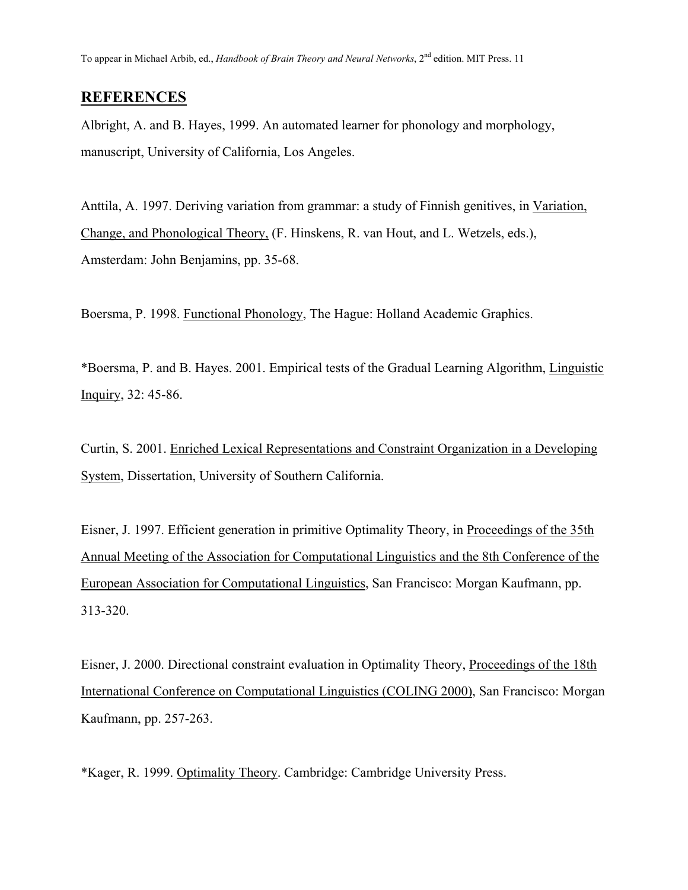To appear in Michael Arbib, ed., *Handbook of Brain Theory and Neural Networks*, 2nd edition. MIT Press. 11

# **REFERENCES**

Albright, A. and B. Hayes, 1999. An automated learner for phonology and morphology, manuscript, University of California, Los Angeles.

Anttila, A. 1997. Deriving variation from grammar: a study of Finnish genitives, in Variation, Change, and Phonological Theory, (F. Hinskens, R. van Hout, and L. Wetzels, eds.), Amsterdam: John Benjamins, pp. 35-68.

Boersma, P. 1998. Functional Phonology, The Hague: Holland Academic Graphics.

\*Boersma, P. and B. Hayes. 2001. Empirical tests of the Gradual Learning Algorithm, Linguistic Inquiry, 32: 45-86.

Curtin, S. 2001. Enriched Lexical Representations and Constraint Organization in a Developing System, Dissertation, University of Southern California.

Eisner, J. 1997. Efficient generation in primitive Optimality Theory, in Proceedings of the 35th Annual Meeting of the Association for Computational Linguistics and the 8th Conference of the European Association for Computational Linguistics, San Francisco: Morgan Kaufmann, pp. 313-320.

Eisner, J. 2000. Directional constraint evaluation in Optimality Theory, Proceedings of the 18th International Conference on Computational Linguistics (COLING 2000), San Francisco: Morgan Kaufmann, pp. 257-263.

\*Kager, R. 1999. Optimality Theory. Cambridge: Cambridge University Press.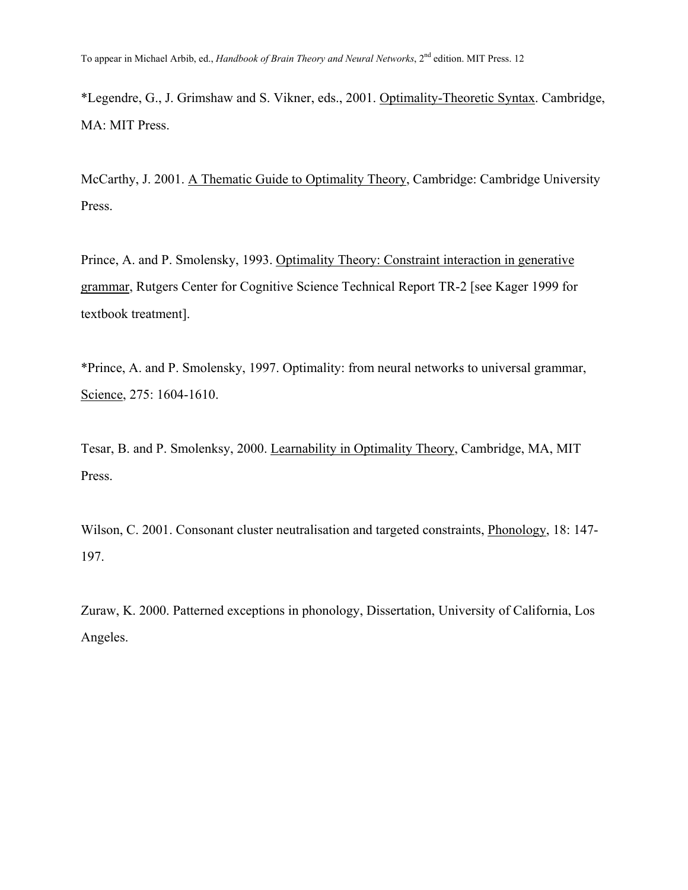\*Legendre, G., J. Grimshaw and S. Vikner, eds., 2001. Optimality-Theoretic Syntax. Cambridge, MA: MIT Press.

McCarthy, J. 2001. A Thematic Guide to Optimality Theory, Cambridge: Cambridge University Press.

Prince, A. and P. Smolensky, 1993. Optimality Theory: Constraint interaction in generative grammar, Rutgers Center for Cognitive Science Technical Report TR-2 [see Kager 1999 for textbook treatment].

\*Prince, A. and P. Smolensky, 1997. Optimality: from neural networks to universal grammar, Science, 275: 1604-1610.

Tesar, B. and P. Smolenksy, 2000. Learnability in Optimality Theory, Cambridge, MA, MIT Press.

Wilson, C. 2001. Consonant cluster neutralisation and targeted constraints, Phonology, 18: 147- 197.

Zuraw, K. 2000. Patterned exceptions in phonology, Dissertation, University of California, Los Angeles.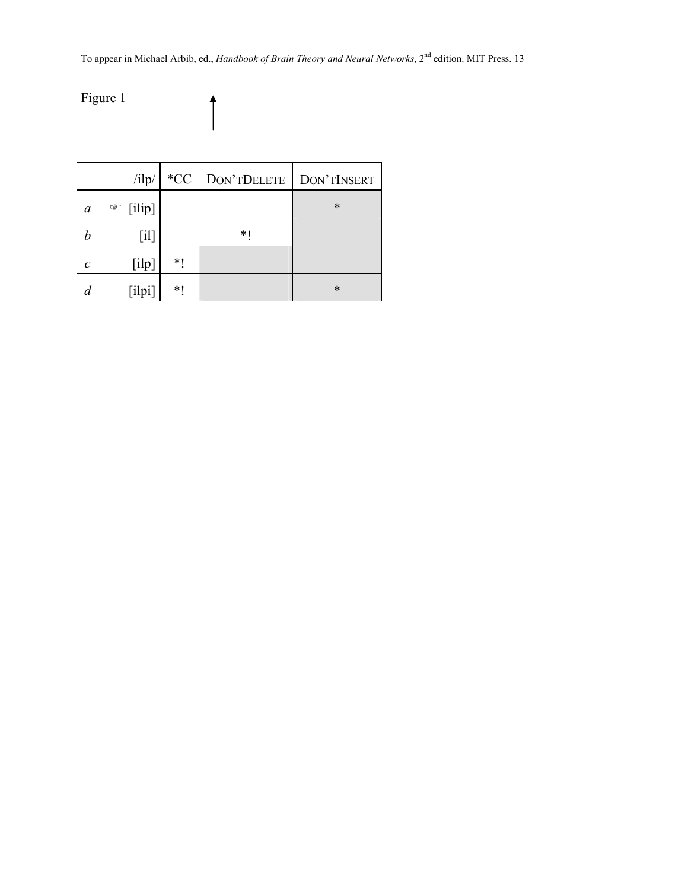To appear in Michael Arbib, ed., *Handbook of Brain Theory and Neural Networks*, 2nd edition. MIT Press. 13

<span id="page-12-0"></span>Figure 1

|               | $\frac{1}{\pi}$ | $*CC$ | DON'TDELETE | DON'TINSERT |
|---------------|-----------------|-------|-------------|-------------|
| a             | [ilip]<br>☞     |       |             | $\ast$      |
| h             | [il]            |       | * 1         |             |
| $\mathcal{C}$ | [ilp]           | $*1$  |             |             |
|               | [ilpi]          | $*1$  |             | $\ast$      |

 $\hat{\dagger}$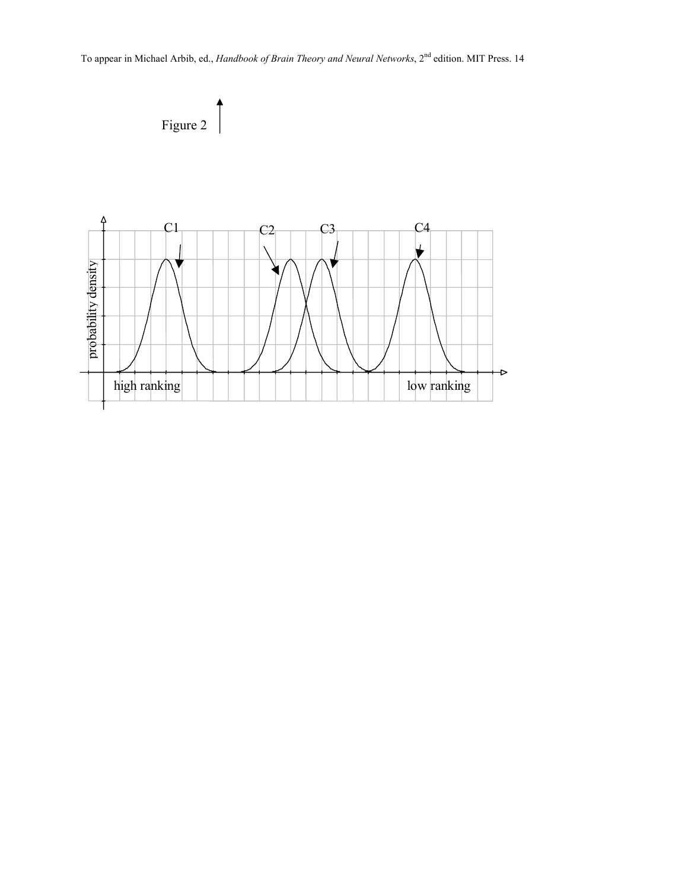<span id="page-13-0"></span>